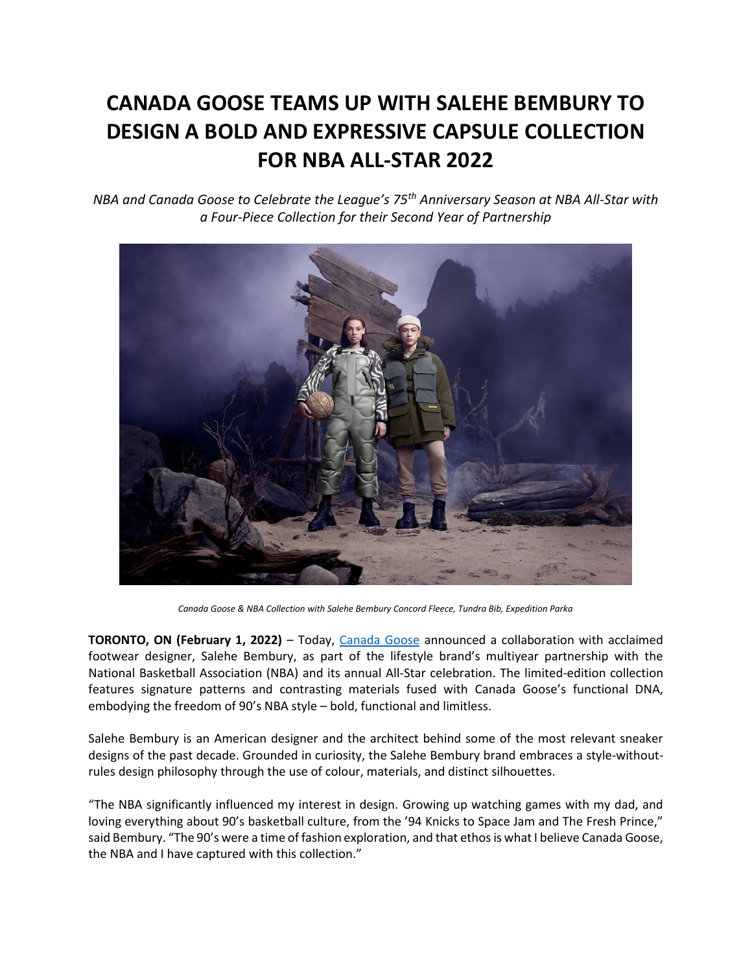## **CANADA GOOSE TEAMS UP WITH SALEHE BEMBURY TO DESIGN A BOLD AND EXPRESSIVE CAPSULE COLLECTION FOR NBA ALL-STAR 2022**

*NBA and Canada Goose to Celebrate the League's 75th Anniversary Season at NBA All-Star with a Four-Piece Collection for their Second Year of Partnership*



*Canada Goose & NBA Collection with Salehe Bembury Concord Fleece, Tundra Bib, Expedition Parka*

**TORONTO, ON (February 1, 2022)** – Today, [Canada Goose](https://www.canadagoose.com/) announced a collaboration with acclaimed footwear designer, Salehe Bembury, as part of the lifestyle brand's multiyear partnership with the National Basketball Association (NBA) and its annual All-Star celebration. The limited-edition collection features signature patterns and contrasting materials fused with Canada Goose's functional DNA, embodying the freedom of 90's NBA style – bold, functional and limitless.

Salehe Bembury is an American designer and the architect behind some of the most relevant sneaker designs of the past decade. Grounded in curiosity, the Salehe Bembury brand embraces a style-withoutrules design philosophy through the use of colour, materials, and distinct silhouettes.

"The NBA significantly influenced my interest in design. Growing up watching games with my dad, and loving everything about 90's basketball culture, from the '94 Knicks to Space Jam and The Fresh Prince," said Bembury. "The 90's were a time of fashion exploration, and that ethos is what I believe Canada Goose, the NBA and I have captured with this collection."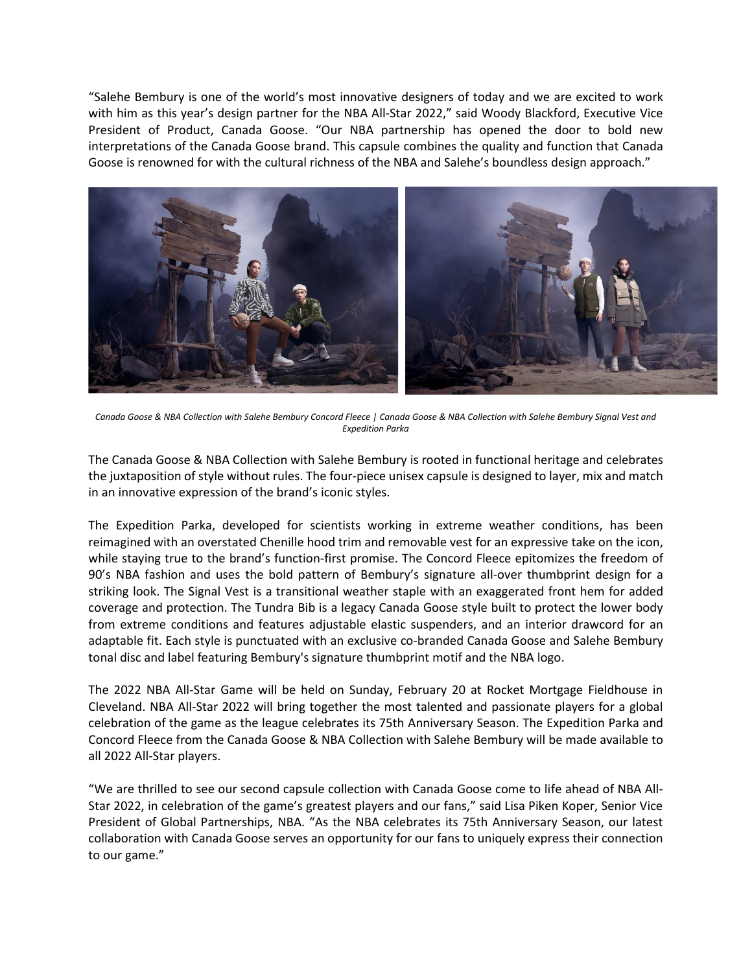"Salehe Bembury is one of the world's most innovative designers of today and we are excited to work with him as this year's design partner for the NBA All-Star 2022," said Woody Blackford, Executive Vice President of Product, Canada Goose. "Our NBA partnership has opened the door to bold new interpretations of the Canada Goose brand. This capsule combines the quality and function that Canada Goose is renowned for with the cultural richness of the NBA and Salehe's boundless design approach."



*Canada Goose & NBA Collection with Salehe Bembury Concord Fleece | Canada Goose & NBA Collection with Salehe Bembury Signal Vest and Expedition Parka*

The Canada Goose & NBA Collection with Salehe Bembury is rooted in functional heritage and celebrates the juxtaposition of style without rules. The four-piece unisex capsule is designed to layer, mix and match in an innovative expression of the brand's iconic styles.

The Expedition Parka, developed for scientists working in extreme weather conditions, has been reimagined with an overstated Chenille hood trim and removable vest for an expressive take on the icon, while staying true to the brand's function-first promise. The Concord Fleece epitomizes the freedom of 90's NBA fashion and uses the bold pattern of Bembury's signature all-over thumbprint design for a striking look. The Signal Vest is a transitional weather staple with an exaggerated front hem for added coverage and protection. The Tundra Bib is a legacy Canada Goose style built to protect the lower body from extreme conditions and features adjustable elastic suspenders, and an interior drawcord for an adaptable fit. Each style is punctuated with an exclusive co-branded Canada Goose and Salehe Bembury tonal disc and label featuring Bembury's signature thumbprint motif and the NBA logo.

The 2022 NBA All-Star Game will be held on Sunday, February 20 at Rocket Mortgage Fieldhouse in Cleveland. NBA All-Star 2022 will bring together the most talented and passionate players for a global celebration of the game as the league celebrates its 75th Anniversary Season. The Expedition Parka and Concord Fleece from the Canada Goose & NBA Collection with Salehe Bembury will be made available to all 2022 All-Star players.

"We are thrilled to see our second capsule collection with Canada Goose come to life ahead of NBA All-Star 2022, in celebration of the game's greatest players and our fans," said Lisa Piken Koper, Senior Vice President of Global Partnerships, NBA. "As the NBA celebrates its 75th Anniversary Season, our latest collaboration with Canada Goose serves an opportunity for our fans to uniquely express their connection to our game."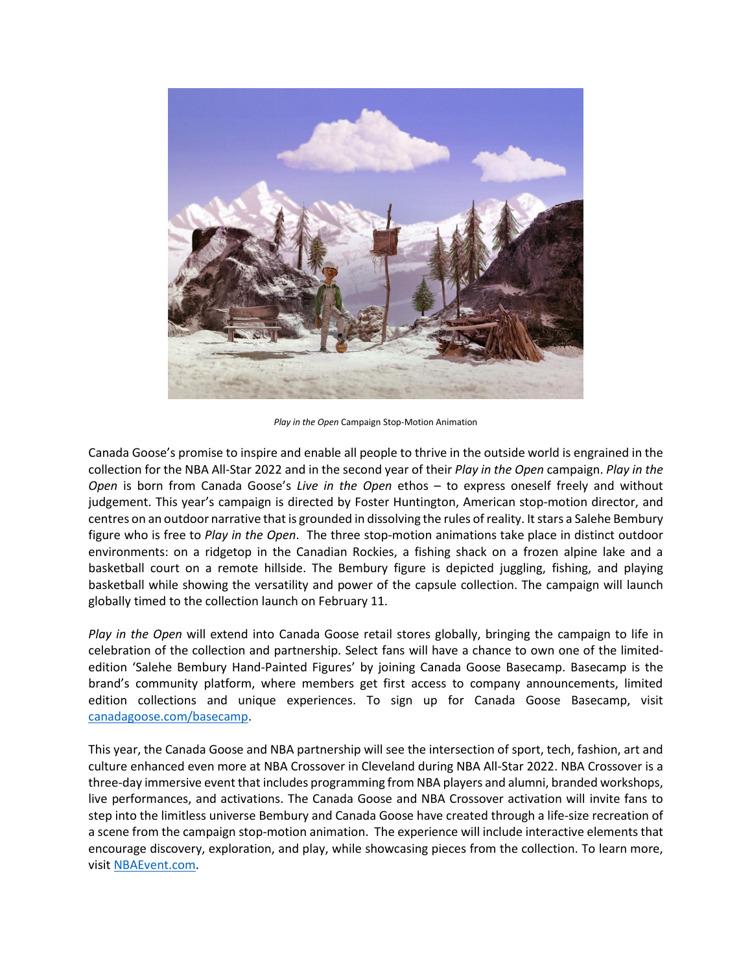

*Play in the Open* Campaign Stop-Motion Animation

Canada Goose's promise to inspire and enable all people to thrive in the outside world is engrained in the collection for the NBA All-Star 2022 and in the second year of their *Play in the Open* campaign. *Play in the Open* is born from Canada Goose's *Live in the Open* ethos – to express oneself freely and without judgement. This year's campaign is directed by Foster Huntington, American stop-motion director, and centres on an outdoor narrative that is grounded in dissolving the rules of reality. It stars a Salehe Bembury figure who is free to *Play in the Open*. The three stop-motion animations take place in distinct outdoor environments: on a ridgetop in the Canadian Rockies, a fishing shack on a frozen alpine lake and a basketball court on a remote hillside. The Bembury figure is depicted juggling, fishing, and playing basketball while showing the versatility and power of the capsule collection. The campaign will launch globally timed to the collection launch on February 11.

*Play in the Open* will extend into Canada Goose retail stores globally, bringing the campaign to life in celebration of the collection and partnership. Select fans will have a chance to own one of the limitededition 'Salehe Bembury Hand-Painted Figures' by joining Canada Goose Basecamp. Basecamp is the brand's community platform, where members get first access to company announcements, limited edition collections and unique experiences. To sign up for Canada Goose Basecamp, visit [canadagoose.com/basecamp.](https://www.canadagoose.com/ca/en/email-signup)

This year, the Canada Goose and NBA partnership will see the intersection of sport, tech, fashion, art and culture enhanced even more at NBA Crossover in Cleveland during NBA All-Star 2022. NBA Crossover is a three-day immersive event that includes programming from NBA players and alumni, branded workshops, live performances, and activations. The Canada Goose and NBA Crossover activation will invite fans to step into the limitless universe Bembury and Canada Goose have created through a life-size recreation of a scene from the campaign stop-motion animation. The experience will include interactive elements that encourage discovery, exploration, and play, while showcasing pieces from the collection. To learn more, visi[t NBAEvent.com.](https://nbaevents.nba.com/events/nba-crossover)